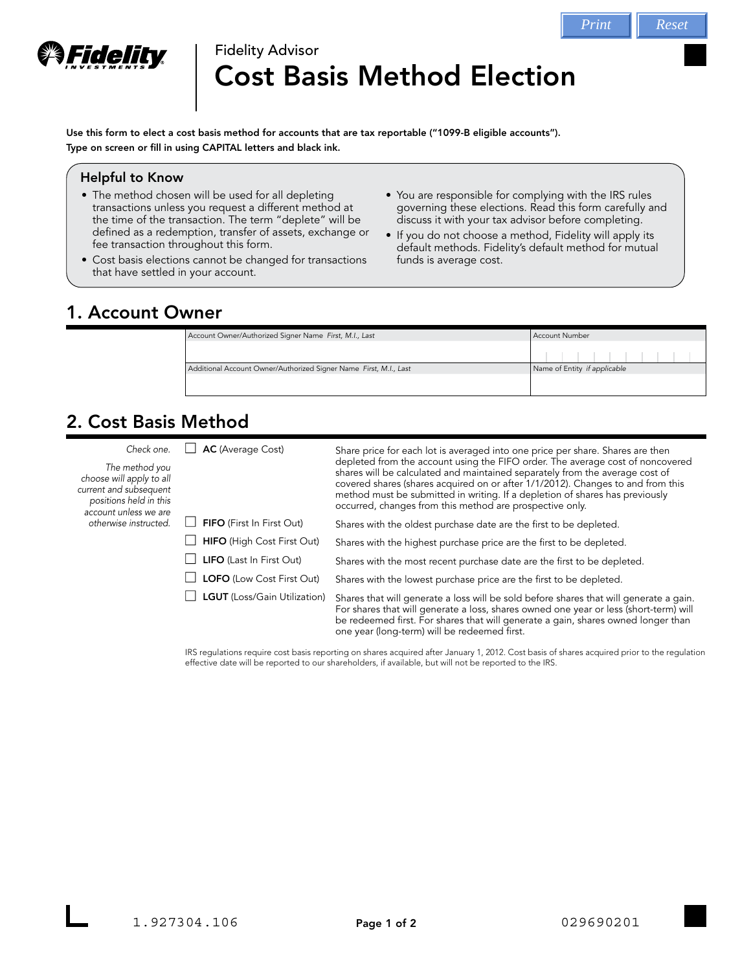

# Fidelity Advisor Cost Basis Method Election

Use this form to elect a cost basis method for accounts that are tax reportable ("1099-B eligible accounts"). Type on screen or fill in using CAPITAL letters and black ink.

#### Helpful to Know

- The method chosen will be used for all depleting transactions unless you request a different method at the time of the transaction. The term "deplete" will be defined as a redemption, transfer of assets, exchange or fee transaction throughout this form.
- Cost basis elections cannot be changed for transactions that have settled in your account.
- You are responsible for complying with the IRS rules governing these elections. Read this form carefully and discuss it with your tax advisor before completing.
- If you do not choose a method, Fidelity will apply its default methods. Fidelity's default method for mutual funds is average cost.

## 1. Account Owner

| Account Owner/Authorized Signer Name First, M.I., Last            | Account Number               |  |
|-------------------------------------------------------------------|------------------------------|--|
|                                                                   |                              |  |
|                                                                   |                              |  |
| Additional Account Owner/Authorized Signer Name First, M.I., Last | Name of Entity if applicable |  |
|                                                                   |                              |  |
|                                                                   |                              |  |

# 2. Cost Basis Method

| Check one.<br>The method you<br>choose will apply to all<br>current and subsequent<br>positions held in this<br>account unless we are<br>otherwise instructed. | <b>AC</b> (Average Cost)          | Share price for each lot is averaged into one price per share. Shares are then<br>depleted from the account using the FIFO order. The average cost of noncovered<br>shares will be calculated and maintained separately from the average cost of<br>covered shares (shares acquired on or after 1/1/2012). Changes to and from this<br>method must be submitted in writing. If a depletion of shares has previously<br>occurred, changes from this method are prospective only. |
|----------------------------------------------------------------------------------------------------------------------------------------------------------------|-----------------------------------|---------------------------------------------------------------------------------------------------------------------------------------------------------------------------------------------------------------------------------------------------------------------------------------------------------------------------------------------------------------------------------------------------------------------------------------------------------------------------------|
|                                                                                                                                                                | FIFO (First In First Out)         | Shares with the oldest purchase date are the first to be depleted.                                                                                                                                                                                                                                                                                                                                                                                                              |
|                                                                                                                                                                | <b>HIFO</b> (High Cost First Out) | Shares with the highest purchase price are the first to be depleted.                                                                                                                                                                                                                                                                                                                                                                                                            |
|                                                                                                                                                                | <b>LIFO</b> (Last In First Out)   | Shares with the most recent purchase date are the first to be depleted.                                                                                                                                                                                                                                                                                                                                                                                                         |
|                                                                                                                                                                | <b>LOFO</b> (Low Cost First Out)  | Shares with the lowest purchase price are the first to be depleted.                                                                                                                                                                                                                                                                                                                                                                                                             |
|                                                                                                                                                                | LGUT (Loss/Gain Utilization)      | Shares that will generate a loss will be sold before shares that will generate a gain.<br>For shares that will generate a loss, shares owned one year or less (short-term) will<br>be redeemed first. For shares that will generate a gain, shares owned longer than<br>one year (long-term) will be redeemed first.                                                                                                                                                            |

IRS regulations require cost basis reporting on shares acquired after January 1, 2012. Cost basis of shares acquired prior to the regulation effective date will be reported to our shareholders, if available, but will not be reported to the IRS.